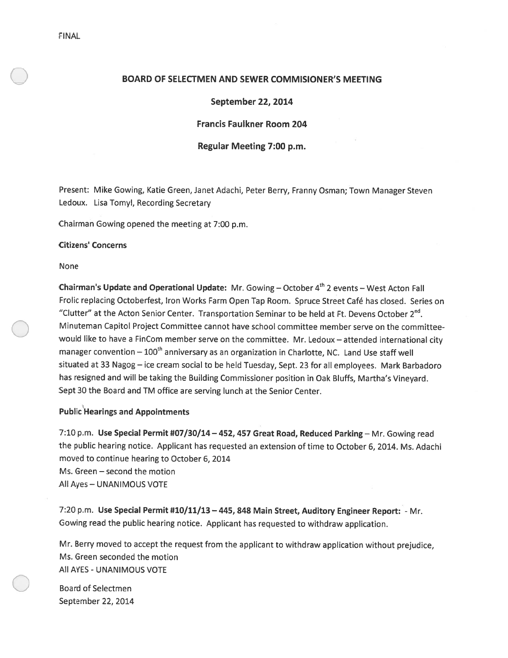## BOARD OF SELECTMEN AND SEWER COMMISIONER'S MEETING

## September 22, 2014

## Francis Faulkner Room 204

## Regular Meeting 7:00 p.m.

Present: Mike Gowing, Katie Green, Janet Adachi, Peter Berry, Franny Osman; Town Manager Steven Ledoux. Lisa Tomyl, Recording Secretary

Chairman Gowing opene<sup>d</sup> the meeting at 7:00 p.m.

### Citizens' Concerns

None

Chairman's Update and Operational Update: Mr. Gowing – October  $4<sup>th</sup>$  2 events – West Acton Fall Frolic replacing Octoberfest, Iron Works Farm Open Tap Room. Spruce Street Café has closed. Series on "Clutter" at the Acton Senior Center. Transportation Seminar to be held at Ft. Devens October  $2^{nd}$ . Minuteman Capitol Project Committee cannot have school committee member serve on the committeewould like to have <sup>a</sup> FinCom member serve on the committee. Mr. Ledoux — attended international city manager convention  $-100<sup>th</sup>$  anniversary as an organization in Charlotte, NC. Land Use staff well situated at <sup>33</sup> Nagog — ice cream social to be held Tuesday, Sept. <sup>23</sup> for all employees. Mark Barbadoro has resigned and will be taking the Building Commissioner position in Oak Bluffs, Martha's Vineyard. Sept 30 the Board and TM office are serving lunch at the Senior Center.

## Public Hearings and Appointments

7:10 p.m. Use Special Permit #07/30/14—452, <sup>457</sup> Great Road, Reduced Parking — Mr. Gowing read the public hearing notice. Applicant has requested an extension of time to October 6, 2014. Ms. Adachi moved to continue hearing to October 6, 2014 Ms. Green — second the motion All Ayes — UNANIMOUS VOTE

7:20 p.m. Use Special Permit #10/11/13 — 445, <sup>848</sup> Main Street, Auditory Engineer Report: - Mr. Gowing read the public hearing notice. Applicant has requested to withdraw application.

Mr. Berry moved to accep<sup>t</sup> the reques<sup>t</sup> from the applicant to withdraw application without prejudice, Ms. Green seconded the motion All AYES -UNANIMOUS VOTE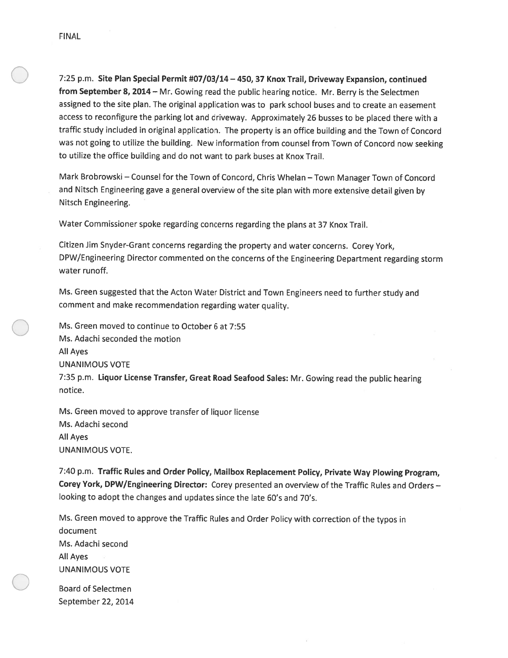7:25 p.m. Site Plan Special Permit #07/03/14 - 450, 37 Knox Trail, Driveway Expansion, continued from September 8, 2014 - Mr. Gowing read the public hearing notice. Mr. Berry is the Selectmen assigned to the site <sup>p</sup>lan. The original application was to par<sup>k</sup> school buses and to create an easement access to reconfigure the parking lot and driveway. Approximately <sup>26</sup> busses to be <sup>p</sup>laced there with <sup>a</sup> traffic study included in original application. The property is an office building and the Town of Concord was not going to utilize the building. New information from counsel from Town of Concord now seeking to utilize the office building and do not want to par<sup>k</sup> buses at Knox Trail.

Mark Brobrowski — Counsel for the Town of Concord, Chris Whelan — Town Manager Town of Concord and Nitsch Engineering gave <sup>a</sup> genera<sup>l</sup> overview of the site <sup>p</sup>lan with more extensive detail <sup>g</sup>iven by Nitsch Engineering.

Water Commissioner spoke regarding concerns regarding the <sup>p</sup>lans at <sup>37</sup> Knox Trail.

Citizen Jim Snyder-Grant concerns regarding the property and water concerns. Corey York, DPW/Engineering Director commented on the concerns of the Engineering Department regarding storm water runoff.

Ms. Green suggested that the Acton Water District and Town Engineers need to further study and comment and make recommendation regarding water quality.

Ms. Green moved to continue to October 6 at 7:55 Ms. Adachi seconded the motion All Ayes UNANIMOUS VOTE 7:35 p.m. Liquor License Transfer, Great Road Seafood Sales: Mr. Gowing read the public hearing notice.

Ms. Green moved to approve transfer of liquor license Ms. Adachi second All Ayes UNANIMOUS VOTE.

7:40 p.m. Traffic Rules and Order Policy, Mailbox Replacement Policy, Private Way Plowing Program, Corey York, DPW/Engineering Director: Corey presented an overview of the Traffic Rules and Orders looking to adopt the changes and updates since the late 60's and 70's.

Ms. Green moved to approve the Traffic Rules and Order Policy with correction of the typos in document Ms. Adachi second All Ayes UNANIMOUS VOTE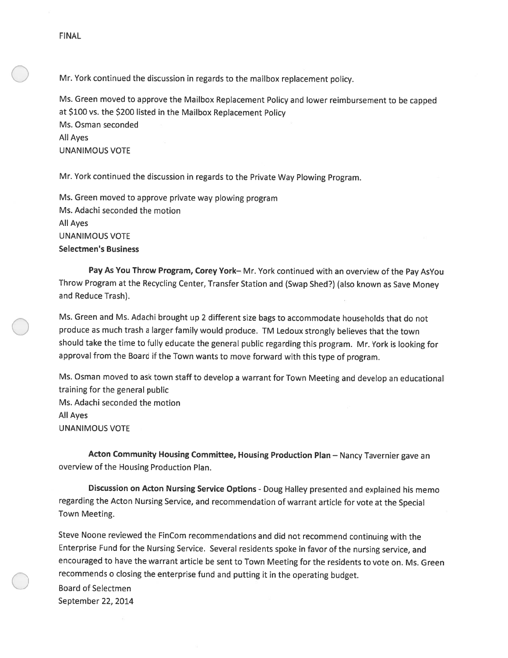Mr. York continued the discussion in regards to the mailbox replacement policy.

Ms. Green moved to approve the Mailbox Replacement Policy and lower reimbursement to be capped at \$100 vs. the \$200 listed in the Mailbox Replacement Policy Ms. Osman seconded All Ayes UNANIMOUS VOTE

Mr. York continued the discussion in regards to the Private Way Plowing Program.

Ms. Green moved to approve private way <sup>p</sup>lowing program Ms. Adachi seconded the motion All Ayes UNANIMOUS VOTE Selectmen's Business

Pay As You Throw Program, Corey York-Mr. York continued with an overview of the Pay AsYou Throw Program at the Recycling Center, Transfer Station and (Swap Shed?) (also known as Save Money and Reduce Trash).

Ms. Green and Ms. Adachi brought up <sup>2</sup> different size bags to accommodate households that do not produce as much trash <sup>a</sup> larger family would produce. TM Ledoux strongly believes that the town should take the time to fully educate the general public regarding this program. Mr. York is looking for approval from the Board if the Town wants to move forward with this type of program.

Ms. Osman moved to ask town staff to develop <sup>a</sup> warrant for Town Meeting and develop an educational training for the general public Ms. Adachi seconded the motion All Ayes UNANIMOUS VOTE

Acton Community Housing Committee, Housing Production Plan - Nancy Tavernier gave an overview of the Housing Production Plan.

Discussion on Acton Nursing Service Options - Doug Halley presented and explained his memo regarding the Acton Nursing Service, and recommendation of warrant article for vote at the Special Town Meeting.

Steve Noone reviewed the FinCom recommendations and did not recommend continuing with the Enterprise Fund for the Nursing Service. Several residents spoke in favor of the nursing service, and encouraged to have the warrant article be sent to Town Meeting for the residents to vote on. Ms. Green recommends <sup>o</sup> closing the enterprise fund and putting it in the operating budget.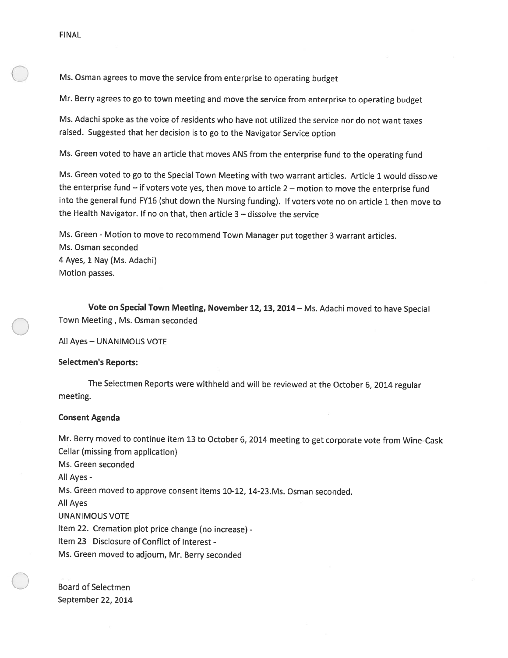Ms. Osman agrees to move the service from enterprise to operating budget

Mr. Berry agrees to go to town meeting and move the service from enterprise to operating budget

Ms. Adachi spoke as the voice of residents who have not utilized the service nor do not want taxes raised. Suggested that her decision is to go to the Navigator Service option

Ms. Green voted to have an article that moves ANS from the enterprise fund to the operating fund

Ms. Green voted to go to the Special Town Meeting with two warrant articles. Article <sup>1</sup> would dissolve the enterprise fund — if voters vote yes, then move to article <sup>2</sup> — motion to move the enterprise fund into the genera<sup>l</sup> fund FY16 (shut down the Nursing funding). If voters vote no on article <sup>1</sup> then move to the Health Navigator. If no on that, then article 3 — dissolve the service

Ms. Green - Motion to move to recommend Town Manager put together 3 warrant articles. Ms. Osman seconded 4 Ayes, 1 Nay (Ms. Adachi) Motion passes.

Vote on Special Town Meeting, November 12, 13, 2014— Ms. Adachi moved to have Special Town Meeting, Ms. Osman seconded

All Ayes — UNANIMOUS VOTE

### Selectmen's Reports:

The Selectmen Reports were withheld and will be reviewed at the October 6, <sup>2014</sup> regular meeting.

## Consent Agenda

Mr. Berry moved to continue item <sup>13</sup> to October 6, <sup>2014</sup> meeting to ge<sup>t</sup> corporate vote from Wine-Cask Cellar (missing from application) Ms. Green seconded All Ayes -Ms. Green moved to approve consent items 10-12, 14-23.Ms. Osman seconded. All Ayes UNANIMOUS VOTE Item 22. Cremation <sup>p</sup>lot price change (no increase) - Item 23 Disclosure of Conflict of Interest - Ms. Green moved to adjourn, Mr. Berry seconded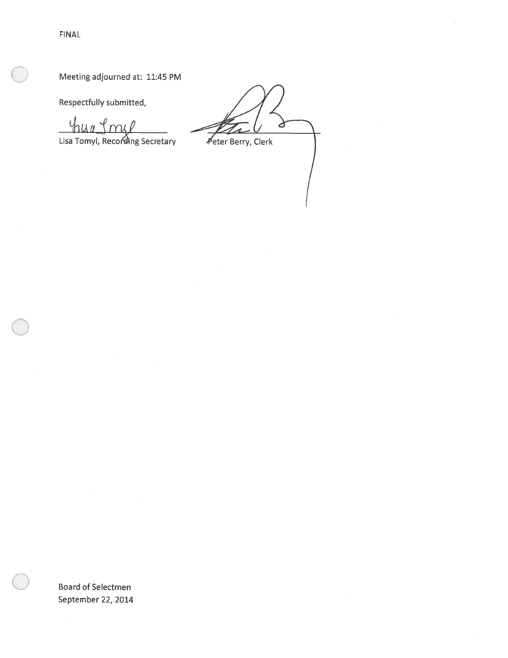FINAL

Meeting adjourned at: 11:45 PM

Respectfully submitted,

 $4\mu$ <sup>d</sup>

Lisa Tomyl, Recording Secretary

Peter Berry, Clerk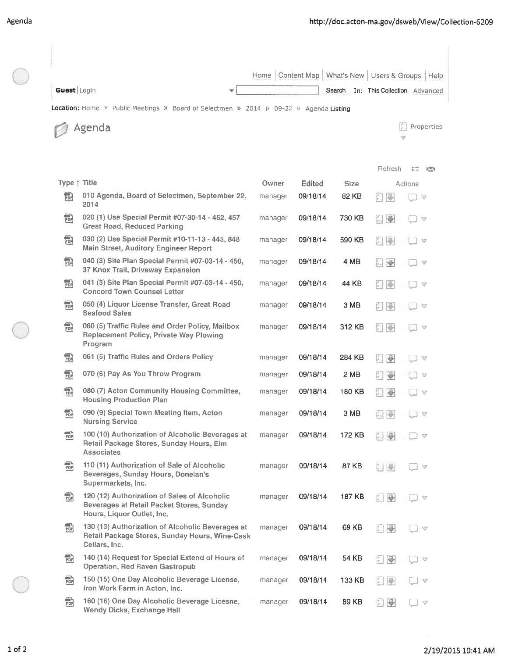|                                                                                       |                                                                                                                         | Home    | Content Map   |             | What's New   Users & Groups   Help                                                     |  |  |  |  |
|---------------------------------------------------------------------------------------|-------------------------------------------------------------------------------------------------------------------------|---------|---------------|-------------|----------------------------------------------------------------------------------------|--|--|--|--|
| Guest Login                                                                           |                                                                                                                         |         |               | Search      | In: This Collection Advanced                                                           |  |  |  |  |
| Location: Home » Public Meetings » Board of Selectmen » 2014 » 09-22 » Agenda Listing |                                                                                                                         |         |               |             |                                                                                        |  |  |  |  |
|                                                                                       | Agenda                                                                                                                  |         |               |             | Properties<br>$\triangledown$                                                          |  |  |  |  |
|                                                                                       |                                                                                                                         |         |               |             | Refresh<br>$\frac{1}{p}$                                                               |  |  |  |  |
| Type ↑ Title                                                                          |                                                                                                                         | Owner   | <b>Edited</b> | <b>Size</b> | ÞА<br>Actions                                                                          |  |  |  |  |
| 勖                                                                                     | 010 Agenda, Board of Selectmen, September 22,<br>2014                                                                   | manager | 09/18/14      | 82 KB       | Ţ.<br>F.<br>$\bigtriangledown$                                                         |  |  |  |  |
| 霝                                                                                     | 020 (1) Use Special Permit #07-30-14 - 452, 457<br><b>Great Road, Reduced Parking</b>                                   | manager | 09/18/14      | 730 KB      | g.<br>₩<br>$\triangledown$                                                             |  |  |  |  |
| 品                                                                                     | 030 (2) Use Special Permit #10-11-13 - 445, 848<br><b>Main Street, Auditory Engineer Report</b>                         | manager | 09/18/14      | 590 KB      | p.<br>$\Box$<br>l v                                                                    |  |  |  |  |
| 霝                                                                                     | 040 (3) Site Plan Special Permit #07-03-14 - 450,<br>37 Knox Trail, Driveway Expansion                                  | manager | 09/18/14      | 4 MB        | 문<br>Ľ.<br>$\triangledown$                                                             |  |  |  |  |
| 副                                                                                     | 041 (3) Site Plan Special Permit #07-03-14 - 450,<br><b>Concord Town Counsel Letter</b>                                 | manager | 09/18/14      | 44 KB       | F.<br>P<br>$\triangledown$                                                             |  |  |  |  |
| 霝                                                                                     | 050 (4) Liquor License Transfer, Great Road<br><b>Seafood Sales</b>                                                     | manager | 09/18/14      | 3 MB        | F<br>$\mathbb{C}$<br>$\triangledown$                                                   |  |  |  |  |
| 霝                                                                                     | 060 (5) Traffic Rules and Order Policy, Mailbox<br><b>Replacement Policy, Private Way Plowing</b><br>Program            | manager | 09/18/14      | 312 KB      | K.<br>$\mathbf{C}$<br>v                                                                |  |  |  |  |
| 霝                                                                                     | 061 (5) Traffic Rules and Orders Policy                                                                                 | manager | 09/18/14      | 284 KB      | E)<br>₩<br>$\triangledown$                                                             |  |  |  |  |
| 勖                                                                                     | 070 (6) Pay As You Throw Program                                                                                        | manager | 09/18/14      | 2 MB        | F.<br>4<br>$\heartsuit$                                                                |  |  |  |  |
| 霝                                                                                     | 080 (7) Acton Community Housing Committee,<br><b>Housing Production Plan</b>                                            | manager | 09/18/14      | 180 KB      | F.<br>₩<br>v                                                                           |  |  |  |  |
| 鼎                                                                                     | 090 (9) Special Town Meeting Item, Acton<br><b>Nursing Service</b>                                                      | manager | 09/18/14      | 3 MB        | $\overline{N}$<br>ÿ.,<br>$\triangledown$                                               |  |  |  |  |
| 霝                                                                                     | 100 (10) Authorization of Alcoholic Beverages at<br>Retail Package Stores, Sunday Hours, Elm<br><b>Associates</b>       | manager | 09/18/14      | 172 KB      | $\ddot{\phantom{1}}$<br>$\triangledown$                                                |  |  |  |  |
| 鼂                                                                                     | 110 (11) Authorization of Sale of Alcoholic<br>Beverages, Sunday Hours, Donelan's<br>Supermarkets, Inc.                 | manager | 09/18/14      | 87 KB       | $\frac{d}{2}$<br>$\mathbb{R}^n$<br>$\mathcal{Q}$                                       |  |  |  |  |
| 酚                                                                                     | 120 (12) Authorization of Sales of Alcoholic<br>Beverages at Retail Packet Stores, Sunday<br>Hours, Liquor Outlet, Inc. | manager | 09/18/14      | 187 KB      | 三县<br>$\triangledown$                                                                  |  |  |  |  |
| 霝                                                                                     | 130 (13) Authorization of Alcoholic Beverages at<br>Retail Package Stores, Sunday Hours, Wine-Cask<br>Cellars, Inc.     | manager | 09/18/14      | 69 KB       | ₩<br>$\begin{bmatrix} \mathbf{v} \\ \mathbf{v} \end{bmatrix}$<br>I A                   |  |  |  |  |
| 蝨                                                                                     | 140 (14) Request for Special Extend of Hours of<br><b>Operation, Red Raven Gastropub</b>                                | manager | 09/18/14      | 54 KB       | $\begin{bmatrix} \mathcal{F} \\ \mathcal{F} \end{bmatrix}$<br>县<br>$\triangledown$     |  |  |  |  |
| 霝                                                                                     | 150 (15) One Day Alcoholic Beverage License,<br>Iron Work Farm in Acton, Inc.                                           | manager | 09/18/14      | 133 KB      | $\left[\begin{matrix} 0 \\ 0 \end{matrix}\right]$<br>$\mathbb{F}^1$<br>$\triangledown$ |  |  |  |  |
| 酚                                                                                     | 160 (16) One Day Alcoholic Beverage Licesne,<br><b>Wendy Dicks, Exchange Hall</b>                                       | manager | 09/18/14      | 89 KB       | M.<br>₩<br>V                                                                           |  |  |  |  |